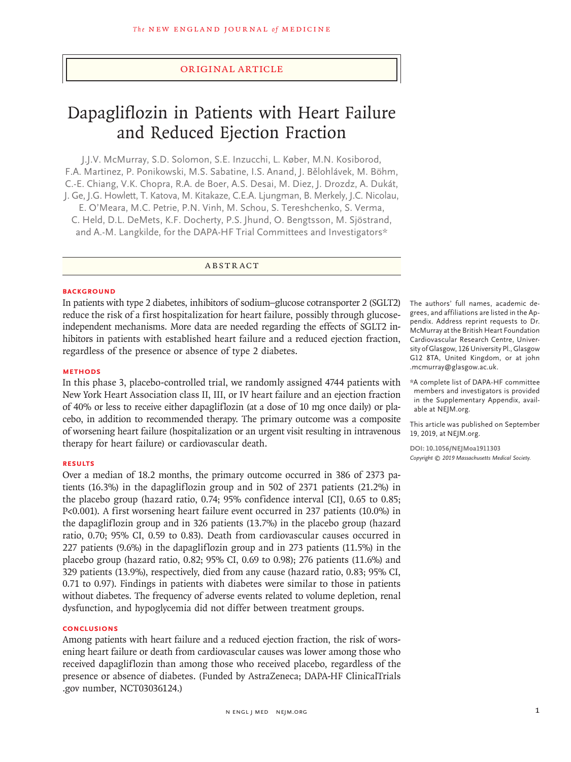### Original Article

# Dapagliflozin in Patients with Heart Failure and Reduced Ejection Fraction

J.J.V. McMurray, S.D. Solomon, S.E. Inzucchi, L. Køber, M.N. Kosiborod, F.A. Martinez, P. Ponikowski, M.S. Sabatine, I.S. Anand, J. Bělohlávek, M. Böhm, C.-E. Chiang, V.K. Chopra, R.A. de Boer, A.S. Desai, M. Diez, J. Drozdz, A. Dukát, J. Ge, J.G. Howlett, T. Katova, M. Kitakaze, C.E.A. Ljungman, B. Merkely, J.C. Nicolau, E. O'Meara, M.C. Petrie, P.N. Vinh, M. Schou, S. Tereshchenko, S. Verma, C. Held, D.L. DeMets, K.F. Docherty, P.S. Jhund, O. Bengtsson, M. Sjöstrand, and A.-M. Langkilde, for the DAPA-HF Trial Committees and Investigators\*

ABSTRACT

#### **BACKGROUND**

In patients with type 2 diabetes, inhibitors of sodium–glucose cotransporter 2 (SGLT2) reduce the risk of a first hospitalization for heart failure, possibly through glucoseindependent mechanisms. More data are needed regarding the effects of SGLT2 inhibitors in patients with established heart failure and a reduced ejection fraction, regardless of the presence or absence of type 2 diabetes.

### **METHODS**

In this phase 3, placebo-controlled trial, we randomly assigned 4744 patients with New York Heart Association class II, III, or IV heart failure and an ejection fraction of 40% or less to receive either dapagliflozin (at a dose of 10 mg once daily) or placebo, in addition to recommended therapy. The primary outcome was a composite of worsening heart failure (hospitalization or an urgent visit resulting in intravenous therapy for heart failure) or cardiovascular death.

#### **RESULTS**

Over a median of 18.2 months, the primary outcome occurred in 386 of 2373 patients (16.3%) in the dapagliflozin group and in 502 of 2371 patients (21.2%) in the placebo group (hazard ratio, 0.74; 95% confidence interval [CI], 0.65 to 0.85; P<0.001). A first worsening heart failure event occurred in 237 patients (10.0%) in the dapagliflozin group and in 326 patients (13.7%) in the placebo group (hazard ratio, 0.70; 95% CI, 0.59 to 0.83). Death from cardiovascular causes occurred in 227 patients (9.6%) in the dapagliflozin group and in 273 patients (11.5%) in the placebo group (hazard ratio, 0.82; 95% CI, 0.69 to 0.98); 276 patients (11.6%) and 329 patients (13.9%), respectively, died from any cause (hazard ratio, 0.83; 95% CI, 0.71 to 0.97). Findings in patients with diabetes were similar to those in patients without diabetes. The frequency of adverse events related to volume depletion, renal dysfunction, and hypoglycemia did not differ between treatment groups.

#### **CONCLUSIONS**

Among patients with heart failure and a reduced ejection fraction, the risk of worsening heart failure or death from cardiovascular causes was lower among those who received dapagliflozin than among those who received placebo, regardless of the presence or absence of diabetes. (Funded by AstraZeneca; DAPA-HF ClinicalTrials .gov number, NCT03036124.)

The authors' full names, academic degrees, and affiliations are listed in the Appendix. Address reprint requests to Dr. McMurray at the British Heart Foundation Cardiovascular Research Centre, University of Glasgow, 126 University Pl., Glasgow G12 8TA, United Kingdom, or at john .mcmurray@glasgow.ac.uk.

\*A complete list of DAPA-HF committee members and investigators is provided in the Supplementary Appendix, available at NEJM.org.

This article was published on September 19, 2019, at NEJM.org.

**DOI: 10.1056/NEJMoa1911303** *Copyright © 2019 Massachusetts Medical Society.*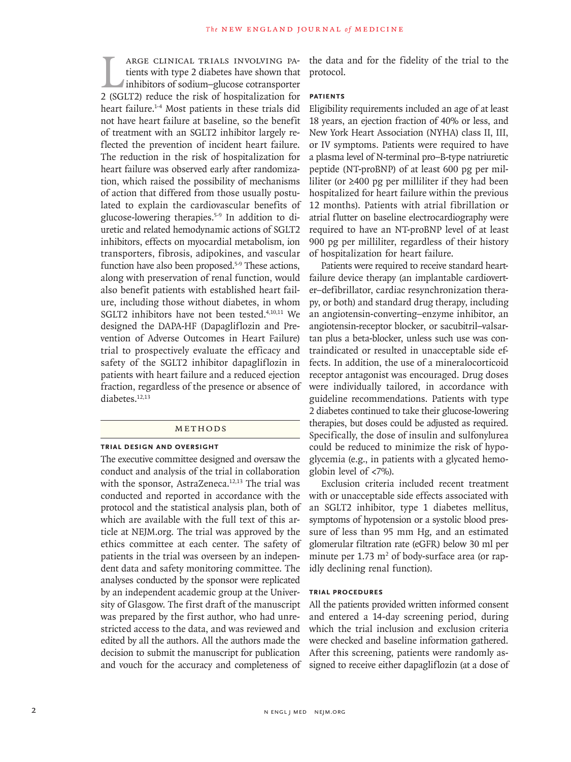ARGE CLINICAL TRIALS INVOLVING PA-<br>tients with type 2 diabetes have shown that<br>inhibitors of sodium-glucose cotransporter<br>2 (SGLT2) reduce the risk of hospitalization for tients with type 2 diabetes have shown that inhibitors of sodium–glucose cotransporter 2 (SGLT2) reduce the risk of hospitalization for heart failure.<sup>1-4</sup> Most patients in these trials did not have heart failure at baseline, so the benefit of treatment with an SGLT2 inhibitor largely reflected the prevention of incident heart failure. The reduction in the risk of hospitalization for heart failure was observed early after randomization, which raised the possibility of mechanisms of action that differed from those usually postulated to explain the cardiovascular benefits of glucose-lowering therapies.5-9 In addition to diuretic and related hemodynamic actions of SGLT2 inhibitors, effects on myocardial metabolism, ion transporters, fibrosis, adipokines, and vascular function have also been proposed.5-9 These actions, along with preservation of renal function, would also benefit patients with established heart failure, including those without diabetes, in whom SGLT2 inhibitors have not been tested.<sup>4,10,11</sup> We designed the DAPA-HF (Dapagliflozin and Prevention of Adverse Outcomes in Heart Failure) trial to prospectively evaluate the efficacy and safety of the SGLT2 inhibitor dapagliflozin in patients with heart failure and a reduced ejection fraction, regardless of the presence or absence of diabetes.<sup>12,13</sup>

### Methods

### **Trial Design and Oversight**

The executive committee designed and oversaw the conduct and analysis of the trial in collaboration with the sponsor, AstraZeneca.<sup>12,13</sup> The trial was conducted and reported in accordance with the protocol and the statistical analysis plan, both of which are available with the full text of this article at NEJM.org. The trial was approved by the ethics committee at each center. The safety of patients in the trial was overseen by an independent data and safety monitoring committee. The analyses conducted by the sponsor were replicated by an independent academic group at the University of Glasgow. The first draft of the manuscript was prepared by the first author, who had unrestricted access to the data, and was reviewed and edited by all the authors. All the authors made the decision to submit the manuscript for publication and vouch for the accuracy and completeness of

the data and for the fidelity of the trial to the protocol.

#### **Patients**

Eligibility requirements included an age of at least 18 years, an ejection fraction of 40% or less, and New York Heart Association (NYHA) class II, III, or IV symptoms. Patients were required to have a plasma level of N-terminal pro–B-type natriuretic peptide (NT-proBNP) of at least 600 pg per milliliter (or ≥400 pg per milliliter if they had been hospitalized for heart failure within the previous 12 months). Patients with atrial fibrillation or atrial flutter on baseline electrocardiography were required to have an NT-proBNP level of at least 900 pg per milliliter, regardless of their history of hospitalization for heart failure.

Patients were required to receive standard heartfailure device therapy (an implantable cardioverter–defibrillator, cardiac resynchronization therapy, or both) and standard drug therapy, including an angiotensin-converting–enzyme inhibitor, an angiotensin-receptor blocker, or sacubitril–valsartan plus a beta-blocker, unless such use was contraindicated or resulted in unacceptable side effects. In addition, the use of a mineralocorticoid receptor antagonist was encouraged. Drug doses were individually tailored, in accordance with guideline recommendations. Patients with type 2 diabetes continued to take their glucose-lowering therapies, but doses could be adjusted as required. Specifically, the dose of insulin and sulfonylurea could be reduced to minimize the risk of hypoglycemia (e.g., in patients with a glycated hemoglobin level of <7%).

Exclusion criteria included recent treatment with or unacceptable side effects associated with an SGLT2 inhibitor, type 1 diabetes mellitus, symptoms of hypotension or a systolic blood pressure of less than 95 mm Hg, and an estimated glomerular filtration rate (eGFR) below 30 ml per minute per  $1.73 \text{ m}^2$  of body-surface area (or rapidly declining renal function).

### **Trial Procedures**

All the patients provided written informed consent and entered a 14-day screening period, during which the trial inclusion and exclusion criteria were checked and baseline information gathered. After this screening, patients were randomly assigned to receive either dapagliflozin (at a dose of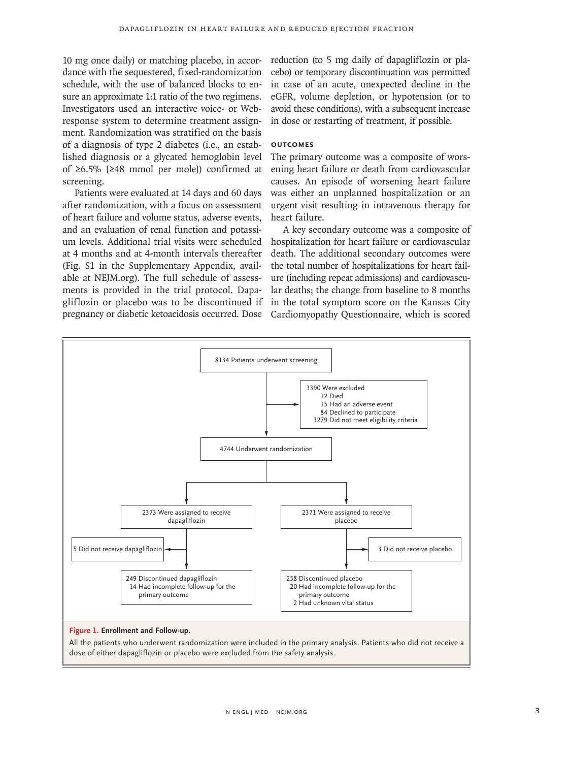10 mg once daily) or matching placebo, in accordance with the sequestered, fixed-randomization schedule, with the use of balanced blocks to ensure an approximate 1:1 ratio of the two regimens. Investigators used an interactive voice- or Webresponse system to determine treatment assignment. Randomization was stratified on the basis of a diagnosis of type 2 diabetes (i.e., an established diagnosis or a glycated hemoglobin level of ≥6.5% [≥48 mmol per mole]) confirmed at screening.

Patients were evaluated at 14 days and 60 days after randomization, with a focus on assessment of heart failure and volume status, adverse events, and an evaluation of renal function and potassium levels. Additional trial visits were scheduled at 4 months and at 4-month intervals thereafter (Fig. S1 in the Supplementary Appendix, available at NEJM.org). The full schedule of assessments is provided in the trial protocol. Dapagliflozin or placebo was to be discontinued if pregnancy or diabetic ketoacidosis occurred. Dose

reduction (to 5 mg daily of dapagliflozin or placebo) or temporary discontinuation was permitted in case of an acute, unexpected decline in the eGFR, volume depletion, or hypotension (or to avoid these conditions), with a subsequent increase in dose or restarting of treatment, if possible.

# **Outcomes**

The primary outcome was a composite of worsening heart failure or death from cardiovascular causes. An episode of worsening heart failure was either an unplanned hospitalization or an urgent visit resulting in intravenous therapy for heart failure.

A key secondary outcome was a composite of hospitalization for heart failure or cardiovascular death. The additional secondary outcomes were the total number of hospitalizations for heart failure (including repeat admissions) and cardiovascular deaths; the change from baseline to 8 months in the total symptom score on the Kansas City Cardiomyopathy Questionnaire, which is scored

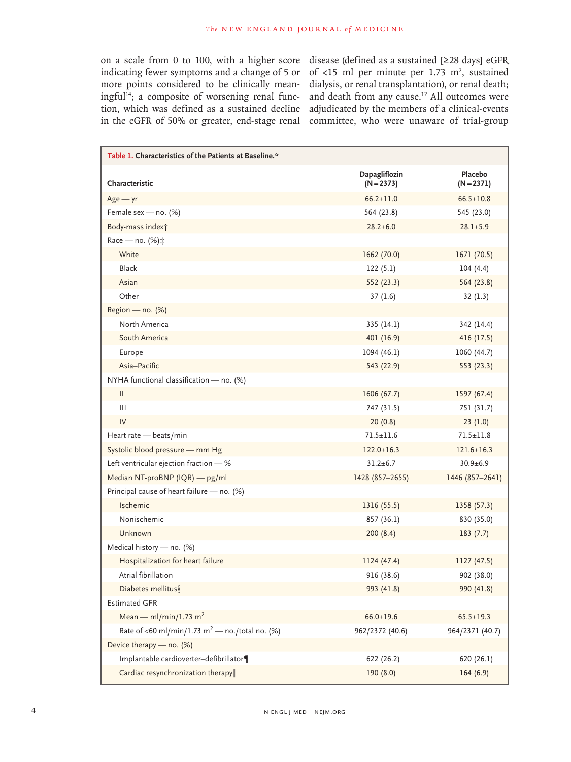in the eGFR of 50% or greater, end-stage renal committee, who were unaware of trial-group

on a scale from 0 to 100, with a higher score disease (defined as a sustained [≥28 days] eGFR indicating fewer symptoms and a change of 5 or of  $\langle 15 \text{ ml} \rangle$  per minute per 1.73 m<sup>2</sup>, sustained more points considered to be clinically mean-dialysis, or renal transplantation), or renal death; ingful<sup>14</sup>; a composite of worsening renal func- and death from any cause.<sup>12</sup> All outcomes were tion, which was defined as a sustained decline adjudicated by the members of a clinical-events

| Table 1. Characteristics of the Patients at Baseline.*     |                               |                         |
|------------------------------------------------------------|-------------------------------|-------------------------|
| Characteristic                                             | Dapagliflozin<br>$(N = 2373)$ | Placebo<br>$(N = 2371)$ |
| $Age - yr$                                                 | $66.2 \pm 11.0$               | $66.5 \pm 10.8$         |
| Female sex - no. (%)                                       | 564 (23.8)                    | 545 (23.0)              |
| Body-mass index†                                           | $28.2 \pm 6.0$                | $28.1 \pm 5.9$          |
| Race — no. (%) $\ddot{x}$                                  |                               |                         |
| White                                                      | 1662 (70.0)                   | 1671 (70.5)             |
| Black                                                      | 122(5.1)                      | 104(4.4)                |
| Asian                                                      | 552(23.3)                     | 564 (23.8)              |
| Other                                                      | 37 (1.6)                      | 32(1.3)                 |
| $Region - no. (%)$                                         |                               |                         |
| North America                                              | 335 (14.1)                    | 342 (14.4)              |
| South America                                              | 401 (16.9)                    | 416(17.5)               |
| Europe                                                     | 1094 (46.1)                   | 1060 (44.7)             |
| Asia-Pacific                                               | 543 (22.9)                    | 553 (23.3)              |
| NYHA functional classification - no. (%)                   |                               |                         |
| Ш                                                          | 1606 (67.7)                   | 1597 (67.4)             |
| $\mathbf{III}$                                             | 747 (31.5)                    | 751 (31.7)              |
| IV                                                         | 20(0.8)                       | 23(1.0)                 |
| Heart rate - beats/min                                     | $71.5 \pm 11.6$               | $71.5 \pm 11.8$         |
| Systolic blood pressure - mm Hg                            | $122.0 \pm 16.3$              | $121.6 \pm 16.3$        |
| Left ventricular ejection fraction - %                     | $31.2 + 6.7$                  | $30.9 + 6.9$            |
| Median NT-proBNP (IQR) - pg/ml                             | 1428 (857-2655)               | 1446 (857-2641)         |
| Principal cause of heart failure - no. (%)                 |                               |                         |
| Ischemic                                                   | 1316 (55.5)                   | 1358 (57.3)             |
| Nonischemic                                                | 857 (36.1)                    | 830 (35.0)              |
| Unknown                                                    | 200(8.4)                      | 183(7.7)                |
| Medical history — no. $(\%)$                               |                               |                         |
| Hospitalization for heart failure                          | 1124 (47.4)                   | 1127 (47.5)             |
| Atrial fibrillation                                        | 916 (38.6)                    | 902 (38.0)              |
| Diabetes mellitus                                          | 993 (41.8)                    | 990 (41.8)              |
| <b>Estimated GFR</b>                                       |                               |                         |
| Mean — ml/min/1.73 m <sup>2</sup>                          | $66.0 \pm 19.6$               | $65.5 \pm 19.3$         |
| Rate of <60 ml/min/1.73 m <sup>2</sup> — no./total no. (%) | 962/2372 (40.6)               | 964/2371 (40.7)         |
| Device therapy - no. (%)                                   |                               |                         |
| Implantable cardioverter-defibrillator¶                    | 622 (26.2)                    | 620 (26.1)              |
| Cardiac resynchronization therapy                          | 190 (8.0)                     | 164(6.9)                |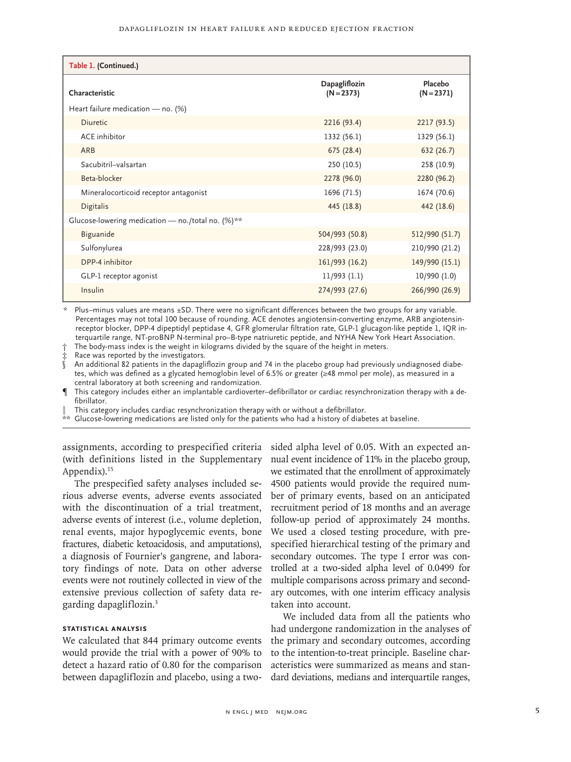| Table 1. (Continued.)                                |                               |                         |
|------------------------------------------------------|-------------------------------|-------------------------|
| Characteristic                                       | Dapagliflozin<br>$(N = 2373)$ | Placebo<br>$(N = 2371)$ |
| Heart failure medication - no. (%)                   |                               |                         |
| Diuretic                                             | 2216 (93.4)                   | 2217 (93.5)             |
| <b>ACE</b> inhibitor                                 | 1332 (56.1)                   | 1329 (56.1)             |
| <b>ARB</b>                                           | 675 (28.4)                    | 632 (26.7)              |
| Sacubitril-valsartan                                 | 250 (10.5)                    | 258 (10.9)              |
| Beta-blocker                                         | 2278 (96.0)                   | 2280 (96.2)             |
| Mineralocorticoid receptor antagonist                | 1696 (71.5)                   | 1674 (70.6)             |
| <b>Digitalis</b>                                     | 445 (18.8)                    | 442 (18.6)              |
| Glucose-lowering medication — no./total no. $(\%)**$ |                               |                         |
| Biguanide                                            | 504/993 (50.8)                | 512/990 (51.7)          |
| Sulfonylurea                                         | 228/993 (23.0)                | 210/990 (21.2)          |
| DPP-4 inhibitor                                      | 161/993 (16.2)                | 149/990 (15.1)          |
| GLP-1 receptor agonist                               | $11/993$ $(1.1)$              | 10/990(1.0)             |
| Insulin                                              | 274/993 (27.6)                | 266/990 (26.9)          |

Plus–minus values are means ±SD. There were no significant differences between the two groups for any variable. Percentages may not total 100 because of rounding. ACE denotes angiotensin-converting enzyme, ARB angiotensinreceptor blocker, DPP-4 dipeptidyl peptidase 4, GFR glomerular filtration rate, GLP-1 glucagon-like peptide 1, IQR interquartile range, NT-proBNP N-terminal pro–B-type natriuretic peptide, and NYHA New York Heart Association.

† The body-mass index is the weight in kilograms divided by the square of the height in meters.

Race was reported by the investigators.

An additional 82 patients in the dapagliflozin group and 74 in the placebo group had previously undiagnosed diabetes, which was defined as a glycated hemoglobin level of 6.5% or greater (≥48 mmol per mole), as measured in a central laboratory at both screening and randomization.

This category includes either an implantable cardioverter-defibrillator or cardiac resynchronization therapy with a defibrillator.

This category includes cardiac resynchronization therapy with or without a defibrillator.

\*\* Glucose-lowering medications are listed only for the patients who had a history of diabetes at baseline.

(with definitions listed in the Supplementary Appendix).<sup>15</sup>

The prespecified safety analyses included serious adverse events, adverse events associated with the discontinuation of a trial treatment, adverse events of interest (i.e., volume depletion, renal events, major hypoglycemic events, bone fractures, diabetic ketoacidosis, and amputations), a diagnosis of Fournier's gangrene, and laboratory findings of note. Data on other adverse events were not routinely collected in view of the extensive previous collection of safety data regarding dapagliflozin.3

# **Statistical Analysis**

We calculated that 844 primary outcome events would provide the trial with a power of 90% to detect a hazard ratio of 0.80 for the comparison between dapagliflozin and placebo, using a two-

assignments, according to prespecified criteria sided alpha level of 0.05. With an expected annual event incidence of 11% in the placebo group, we estimated that the enrollment of approximately 4500 patients would provide the required number of primary events, based on an anticipated recruitment period of 18 months and an average follow-up period of approximately 24 months. We used a closed testing procedure, with prespecified hierarchical testing of the primary and secondary outcomes. The type I error was controlled at a two-sided alpha level of 0.0499 for multiple comparisons across primary and secondary outcomes, with one interim efficacy analysis taken into account.

> We included data from all the patients who had undergone randomization in the analyses of the primary and secondary outcomes, according to the intention-to-treat principle. Baseline characteristics were summarized as means and standard deviations, medians and interquartile ranges,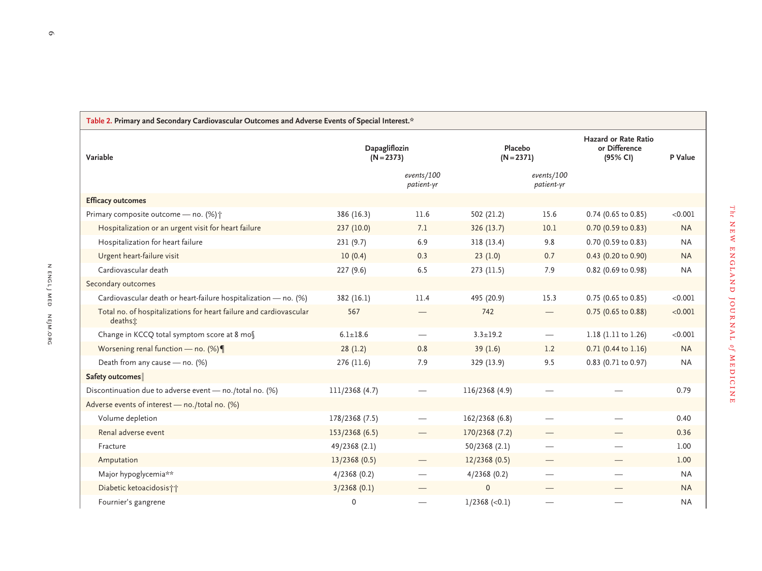| Table 2. Primary and Secondary Cardiovascular Outcomes and Adverse Events of Special Interest.* |                               |            |                         |                                 |                                                          |           |  |
|-------------------------------------------------------------------------------------------------|-------------------------------|------------|-------------------------|---------------------------------|----------------------------------------------------------|-----------|--|
| Variable                                                                                        | Dapagliflozin<br>$(N = 2373)$ | events/100 | Placebo<br>$(N = 2371)$ | events/100                      | <b>Hazard or Rate Ratio</b><br>or Difference<br>(95% CI) | P Value   |  |
|                                                                                                 |                               | patient-yr |                         | patient-yr                      |                                                          |           |  |
| <b>Efficacy outcomes</b>                                                                        |                               |            |                         |                                 |                                                          |           |  |
| Primary composite outcome - no. (%) +                                                           | 386 (16.3)                    | 11.6       | 502 (21.2)              | 15.6                            | 0.74 (0.65 to 0.85)                                      | < 0.001   |  |
| Hospitalization or an urgent visit for heart failure                                            | 237 (10.0)                    | 7.1        | 326 (13.7)              | 10.1                            | 0.70 (0.59 to 0.83)                                      | <b>NA</b> |  |
| Hospitalization for heart failure                                                               | 231(9.7)                      | 6.9        | 318 (13.4)              | 9.8                             | 0.70 (0.59 to 0.83)                                      | NA        |  |
| Urgent heart-failure visit                                                                      | 10(0.4)                       | 0.3        | 23(1.0)                 | 0.7                             | 0.43 (0.20 to 0.90)                                      | <b>NA</b> |  |
| Cardiovascular death                                                                            | 227 (9.6)                     | 6.5        | 273 (11.5)              | 7.9                             | 0.82 (0.69 to 0.98)                                      | NA        |  |
| Secondary outcomes                                                                              |                               |            |                         |                                 |                                                          |           |  |
| Cardiovascular death or heart-failure hospitalization - no. (%)                                 | 382 (16.1)                    | 11.4       | 495 (20.9)              | 15.3                            | 0.75 (0.65 to 0.85)                                      | < 0.001   |  |
| Total no. of hospitalizations for heart failure and cardiovascular<br>deathsit                  | 567                           |            | 742                     | $\hspace{0.1mm}-\hspace{0.1mm}$ | 0.75 (0.65 to 0.88)                                      | < 0.001   |  |
| Change in KCCQ total symptom score at 8 mos                                                     | $6.1 + 18.6$                  |            | $3.3 \pm 19.2$          | $\hspace{0.1mm}-\hspace{0.1mm}$ | 1.18 (1.11 to 1.26)                                      | < 0.001   |  |
| Worsening renal function - no. $(\%) \P$                                                        | 28(1.2)                       | 0.8        | 39(1.6)                 | 1.2                             | $0.71$ (0.44 to 1.16)                                    | <b>NA</b> |  |
| Death from any cause - no. (%)                                                                  | 276 (11.6)                    | 7.9        | 329 (13.9)              | 9.5                             | 0.83 (0.71 to 0.97)                                      | <b>NA</b> |  |
| Safety outcomes                                                                                 |                               |            |                         |                                 |                                                          |           |  |
| Discontinuation due to adverse event - no./total no. (%)                                        | 111/2368 (4.7)                |            | 116/2368 (4.9)          |                                 |                                                          | 0.79      |  |
| Adverse events of interest - no./total no. (%)                                                  |                               |            |                         |                                 |                                                          |           |  |
| Volume depletion                                                                                | 178/2368 (7.5)                |            | 162/2368 (6.8)          |                                 |                                                          | 0.40      |  |
| Renal adverse event                                                                             | 153/2368 (6.5)                |            | 170/2368 (7.2)          |                                 |                                                          | 0.36      |  |
| Fracture                                                                                        | 49/2368 (2.1)                 |            | 50/2368(2.1)            |                                 |                                                          | 1.00      |  |
| Amputation                                                                                      | 13/2368(0.5)                  |            | 12/2368(0.5)            |                                 |                                                          | 1.00      |  |
| Major hypoglycemia**                                                                            | 4/2368(0.2)                   |            | 4/2368(0.2)             |                                 |                                                          | NA        |  |
| Diabetic ketoacidosis††                                                                         | 3/2368(0.1)                   |            | $\mathbf{0}$            |                                 |                                                          | <b>NA</b> |  |
| Fournier's gangrene                                                                             | $\mathbf 0$                   |            | $1/2368$ (<0.1)         |                                 |                                                          | <b>NA</b> |  |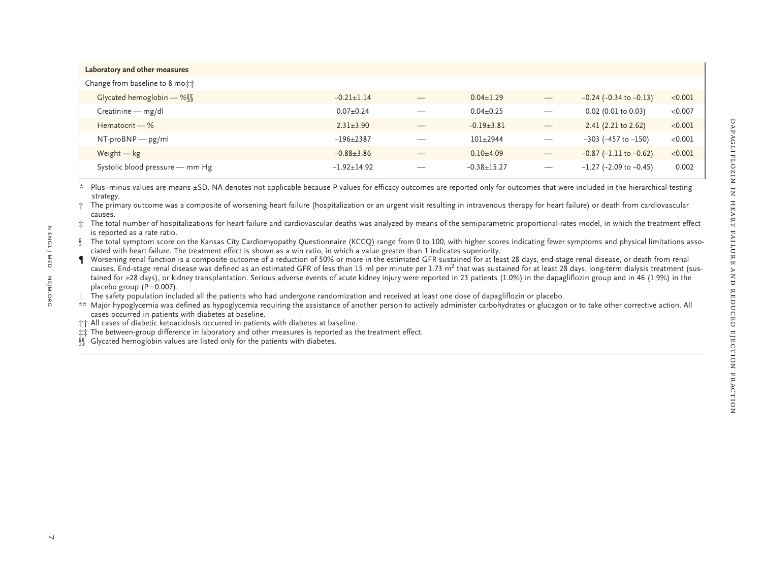| Laboratory and other measures   |                   |                   |                                 |                                |         |
|---------------------------------|-------------------|-------------------|---------------------------------|--------------------------------|---------|
| Change from baseline to 8 moth  |                   |                   |                                 |                                |         |
| Glycated hemoglobin - % \       | $-0.21 \pm 1.14$  | $0.04 + 1.29$     | $\hspace{0.1mm}-\hspace{0.1mm}$ | $-0.24$ ( $-0.34$ to $-0.13$ ) | < 0.001 |
| Creatinine - mg/dl              | $0.07 \pm 0.24$   | $0.04 \pm 0.25$   | $\hspace{0.1mm}-\hspace{0.1mm}$ | $0.02$ (0.01 to 0.03)          | < 0.007 |
| Hematocrit $-$ %                | $2.31 \pm 3.90$   | $-0.19 \pm 3.81$  | $\overline{\phantom{0}}$        | $2.41$ (2.21 to 2.62)          | < 0.001 |
| $NT-proBNP$ pg/ml               | $-196\pm 2387$    | $101\pm 2944$     |                                 | $-303$ ( $-457$ to $-150$ )    | < 0.001 |
| Weight $-$ kg                   | $-0.88 \pm 3.86$  | $0.10+4.09$       |                                 | $-0.87$ ( $-1.11$ to $-0.62$ ) | < 0.001 |
| Systolic blood pressure - mm Hg | $-1.92 \pm 14.92$ | $-0.38 \pm 15.27$ | $\hspace{0.1mm}-\hspace{0.1mm}$ | $-1.27$ (-2.09 to $-0.45$ )    | 0.002   |

\* Plus–minus values are means ±SD. NA denotes not applicable because P values for efficacy outcomes are reported only for outcomes that were included in the hierarchical-testing strategy.

 $\dagger$  The primary outcome was a composite of worsening heart failure (hospitalization or an urgent visit resulting in intravenous therapy for heart failure) or death from cardiovascular causes.

‡ The total number of hospitalizations for heart failure and cardiovascular deaths was analyzed by means of the semiparametric proportional-rates model, in which the treatment effect is reported as a rate ratio.

The total symptom score on the Kansas City Cardiomyopathy Questionnaire (KCCQ) range from 0 to 100, with higher scores indicating fewer symptoms and physical limitations associated with heart failure. The treatment effect is shown as a win ratio, in which a value greater than 1 indicates superiority.

Worsening renal function is a composite outcome of a reduction of 50% or more in the estimated GFR sustained for at least 28 days, end-stage renal disease, or death from renal causes. End-stage renal disease was defined as an estimated GFR of less than 15 ml per minute per 1.73  $m^2$  that was sustained for at least 28 days, long-term dialysis treatment (sustained for ≥28 days), or kidney transplantation. Serious adverse events of acute kidney injury were reported in 23 patients (1.0%) in the dapagliflozin group and in 46 (1.9%) in the placebo group  $(P=0.007)$ .

‖ The safety population included all the patients who had undergone randomization and received at least one dose of dapagliflozin or placebo.

\*\* Major hypoglycemia was defined as hypoglycemia requiring the assistance of another person to actively administer carbohydrates or glucagon or to take other corrective action. All cases occurred in patients with diabetes at baseline.

†† All cases of diabetic ketoacidosis occurred in patients with diabetes at baseline.

‡‡ The between-group difference in laboratory and other measures is reported as the treatment effect.

 $\hat{N}$  Glycated hemoglobin values are listed only for the patients with diabetes.

n engl j med

ENGL) MED

 $\mathsf z$ 

nejm.org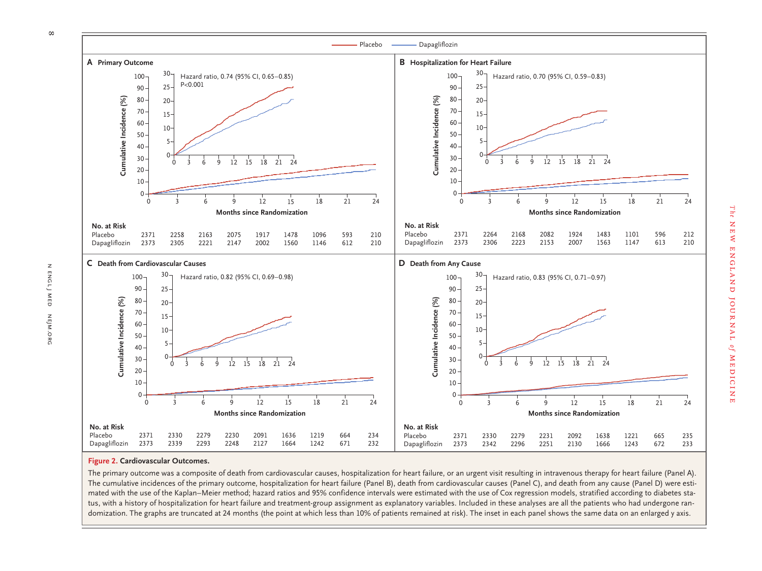

#### **Figure 2. Cardiovascular Outcomes.**

The primary outcome was a composite of death from cardiovascular causes, hospitalization for heart failure, or an urgent visit resulting in intravenous therapy for heart failure (Panel A). The cumulative incidences of the primary outcome, hospitalization for heart failure (Panel B), death from cardiovascular causes (Panel C), and death from any cause (Panel D) were estimated with the use of the Kaplan–Meier method; hazard ratios and 95% confidence intervals were estimated with the use of Cox regression models, stratified according to diabetes status, with a history of hospitalization for heart failure and treatment-group assignment as explanatory variables. Included in these analyses are all the patients who had undergone randomization. The graphs are truncated at 24 months (the point at which less than 10% of patients remained at risk). The inset in each panel shows the same data on an enlarged y axis.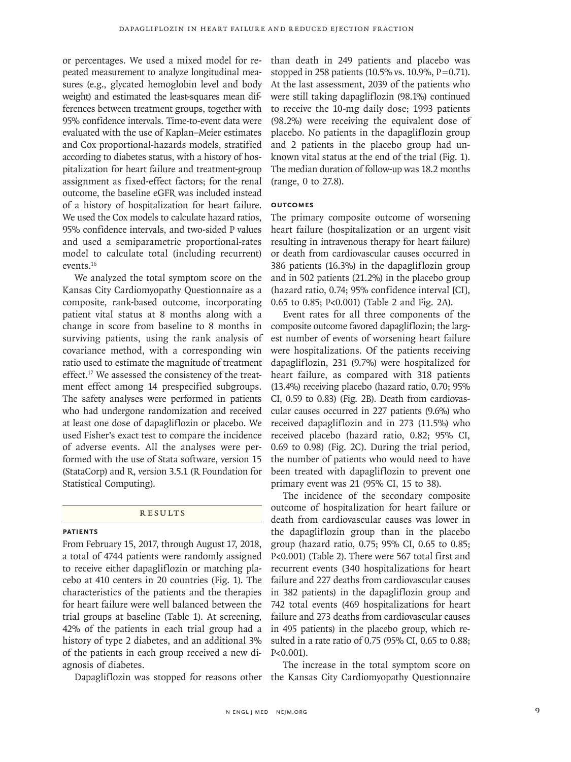or percentages. We used a mixed model for repeated measurement to analyze longitudinal measures (e.g., glycated hemoglobin level and body weight) and estimated the least-squares mean differences between treatment groups, together with 95% confidence intervals. Time-to-event data were evaluated with the use of Kaplan–Meier estimates and Cox proportional-hazards models, stratified according to diabetes status, with a history of hospitalization for heart failure and treatment-group assignment as fixed-effect factors; for the renal outcome, the baseline eGFR was included instead of a history of hospitalization for heart failure. We used the Cox models to calculate hazard ratios, 95% confidence intervals, and two-sided P values and used a semiparametric proportional-rates model to calculate total (including recurrent) events.16

We analyzed the total symptom score on the Kansas City Cardiomyopathy Questionnaire as a composite, rank-based outcome, incorporating patient vital status at 8 months along with a change in score from baseline to 8 months in surviving patients, using the rank analysis of covariance method, with a corresponding win ratio used to estimate the magnitude of treatment effect.<sup>17</sup> We assessed the consistency of the treatment effect among 14 prespecified subgroups. The safety analyses were performed in patients who had undergone randomization and received at least one dose of dapagliflozin or placebo. We used Fisher's exact test to compare the incidence of adverse events. All the analyses were performed with the use of Stata software, version 15 (StataCorp) and R, version 3.5.1 (R Foundation for Statistical Computing).

### **RESULTS**

## **Patients**

From February 15, 2017, through August 17, 2018, a total of 4744 patients were randomly assigned to receive either dapagliflozin or matching placebo at 410 centers in 20 countries (Fig. 1). The characteristics of the patients and the therapies for heart failure were well balanced between the trial groups at baseline (Table 1). At screening, 42% of the patients in each trial group had a history of type 2 diabetes, and an additional 3% of the patients in each group received a new diagnosis of diabetes.

Dapagliflozin was stopped for reasons other the Kansas City Cardiomyopathy Questionnaire

than death in 249 patients and placebo was stopped in 258 patients (10.5% vs. 10.9%,  $P = 0.71$ ). At the last assessment, 2039 of the patients who were still taking dapagliflozin (98.1%) continued to receive the 10-mg daily dose; 1993 patients (98.2%) were receiving the equivalent dose of placebo. No patients in the dapagliflozin group and 2 patients in the placebo group had unknown vital status at the end of the trial (Fig. 1). The median duration of follow-up was 18.2 months (range, 0 to 27.8).

## **Outcomes**

The primary composite outcome of worsening heart failure (hospitalization or an urgent visit resulting in intravenous therapy for heart failure) or death from cardiovascular causes occurred in 386 patients (16.3%) in the dapagliflozin group and in 502 patients (21.2%) in the placebo group (hazard ratio, 0.74; 95% confidence interval [CI], 0.65 to 0.85; P<0.001) (Table 2 and Fig. 2A).

Event rates for all three components of the composite outcome favored dapagliflozin; the largest number of events of worsening heart failure were hospitalizations. Of the patients receiving dapagliflozin, 231 (9.7%) were hospitalized for heart failure, as compared with 318 patients (13.4%) receiving placebo (hazard ratio, 0.70; 95% CI, 0.59 to 0.83) (Fig. 2B). Death from cardiovascular causes occurred in 227 patients (9.6%) who received dapagliflozin and in 273 (11.5%) who received placebo (hazard ratio, 0.82; 95% CI, 0.69 to 0.98) (Fig. 2C). During the trial period, the number of patients who would need to have been treated with dapagliflozin to prevent one primary event was 21 (95% CI, 15 to 38).

The incidence of the secondary composite outcome of hospitalization for heart failure or death from cardiovascular causes was lower in the dapagliflozin group than in the placebo group (hazard ratio, 0.75; 95% CI, 0.65 to 0.85; P<0.001) (Table 2). There were 567 total first and recurrent events (340 hospitalizations for heart failure and 227 deaths from cardiovascular causes in 382 patients) in the dapagliflozin group and 742 total events (469 hospitalizations for heart failure and 273 deaths from cardiovascular causes in 495 patients) in the placebo group, which resulted in a rate ratio of 0.75 (95% CI, 0.65 to 0.88; P<0.001).

The increase in the total symptom score on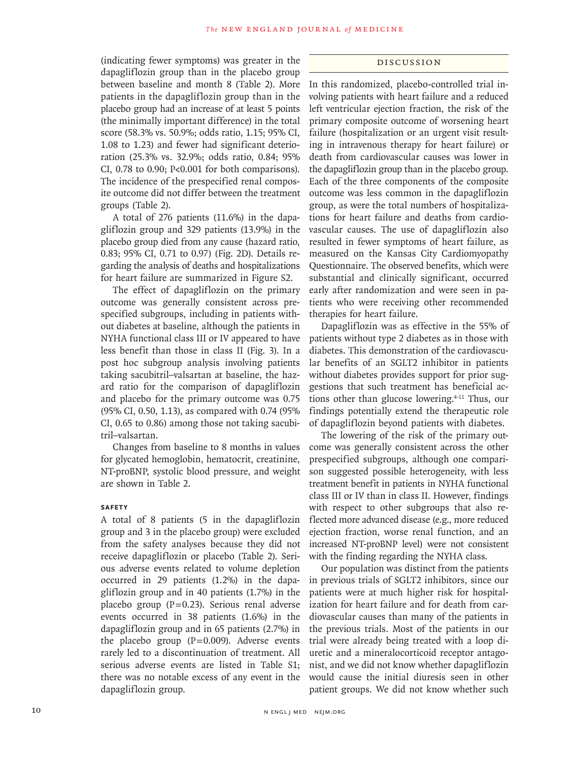(indicating fewer symptoms) was greater in the dapagliflozin group than in the placebo group between baseline and month 8 (Table 2). More patients in the dapagliflozin group than in the placebo group had an increase of at least 5 points (the minimally important difference) in the total score (58.3% vs. 50.9%; odds ratio, 1.15; 95% CI, 1.08 to 1.23) and fewer had significant deterioration (25.3% vs. 32.9%; odds ratio, 0.84; 95% CI,  $0.78$  to  $0.90$ ;  $P<0.001$  for both comparisons). The incidence of the prespecified renal composite outcome did not differ between the treatment groups (Table 2).

A total of 276 patients (11.6%) in the dapagliflozin group and 329 patients (13.9%) in the placebo group died from any cause (hazard ratio, 0.83; 95% CI, 0.71 to 0.97) (Fig. 2D). Details regarding the analysis of deaths and hospitalizations for heart failure are summarized in Figure S2.

The effect of dapagliflozin on the primary outcome was generally consistent across prespecified subgroups, including in patients without diabetes at baseline, although the patients in NYHA functional class III or IV appeared to have less benefit than those in class II (Fig. 3). In a post hoc subgroup analysis involving patients taking sacubitril–valsartan at baseline, the hazard ratio for the comparison of dapagliflozin and placebo for the primary outcome was 0.75 (95% CI, 0.50, 1.13), as compared with 0.74 (95% CI, 0.65 to 0.86) among those not taking sacubitril–valsartan.

Changes from baseline to 8 months in values for glycated hemoglobin, hematocrit, creatinine, NT-proBNP, systolic blood pressure, and weight are shown in Table 2.

## **Safety**

A total of 8 patients (5 in the dapagliflozin group and 3 in the placebo group) were excluded from the safety analyses because they did not receive dapagliflozin or placebo (Table 2). Serious adverse events related to volume depletion occurred in 29 patients (1.2%) in the dapagliflozin group and in 40 patients (1.7%) in the placebo group  $(P=0.23)$ . Serious renal adverse events occurred in 38 patients (1.6%) in the dapagliflozin group and in 65 patients (2.7%) in the placebo group  $(P=0.009)$ . Adverse events rarely led to a discontinuation of treatment. All serious adverse events are listed in Table S1; there was no notable excess of any event in the dapagliflozin group.

### Discussion

In this randomized, placebo-controlled trial involving patients with heart failure and a reduced left ventricular ejection fraction, the risk of the primary composite outcome of worsening heart failure (hospitalization or an urgent visit resulting in intravenous therapy for heart failure) or death from cardiovascular causes was lower in the dapagliflozin group than in the placebo group. Each of the three components of the composite outcome was less common in the dapagliflozin group, as were the total numbers of hospitalizations for heart failure and deaths from cardiovascular causes. The use of dapagliflozin also resulted in fewer symptoms of heart failure, as measured on the Kansas City Cardiomyopathy Questionnaire. The observed benefits, which were substantial and clinically significant, occurred early after randomization and were seen in patients who were receiving other recommended therapies for heart failure.

Dapagliflozin was as effective in the 55% of patients without type 2 diabetes as in those with diabetes. This demonstration of the cardiovascular benefits of an SGLT2 inhibitor in patients without diabetes provides support for prior suggestions that such treatment has beneficial actions other than glucose lowering.<sup>4-11</sup> Thus, our findings potentially extend the therapeutic role of dapagliflozin beyond patients with diabetes.

The lowering of the risk of the primary outcome was generally consistent across the other prespecified subgroups, although one comparison suggested possible heterogeneity, with less treatment benefit in patients in NYHA functional class III or IV than in class II. However, findings with respect to other subgroups that also reflected more advanced disease (e.g., more reduced ejection fraction, worse renal function, and an increased NT-proBNP level) were not consistent with the finding regarding the NYHA class.

Our population was distinct from the patients in previous trials of SGLT2 inhibitors, since our patients were at much higher risk for hospitalization for heart failure and for death from cardiovascular causes than many of the patients in the previous trials. Most of the patients in our trial were already being treated with a loop diuretic and a mineralocorticoid receptor antagonist, and we did not know whether dapagliflozin would cause the initial diuresis seen in other patient groups. We did not know whether such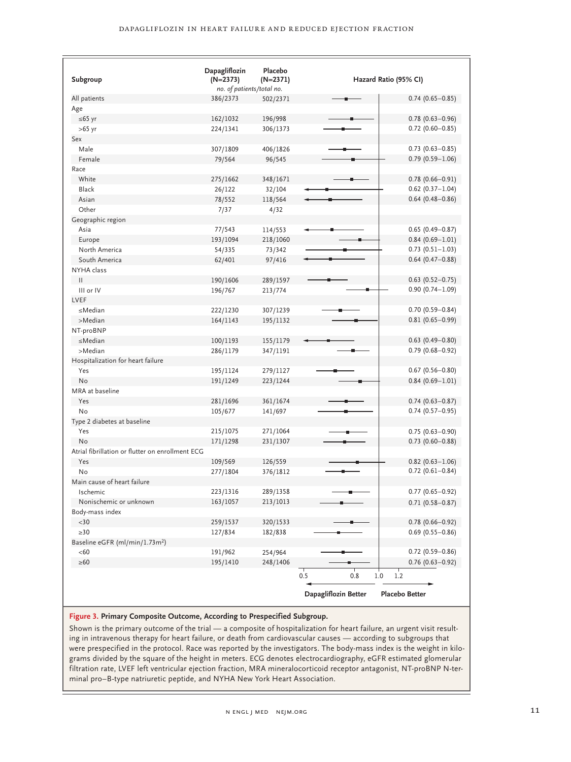| Subgroup                                         | Dapagliflozin<br>$(N=2373)$ | Placebo<br>$(N=2371)$ | Hazard Ratio (95% CI)                  |
|--------------------------------------------------|-----------------------------|-----------------------|----------------------------------------|
|                                                  | no. of patients/total no.   |                       |                                        |
| All patients                                     | 386/2373                    | 502/2371              | $0.74(0.65 - 0.85)$                    |
| Age                                              |                             |                       |                                        |
| ≤65 yr                                           | 162/1032                    | 196/998               | $0.78(0.63 - 0.96)$                    |
| $>65$ yr                                         | 224/1341                    | 306/1373              | $0.72$ (0.60-0.85)                     |
| Sex                                              |                             |                       |                                        |
| Male                                             | 307/1809                    | 406/1826              | $0.73$ $(0.63 - 0.85)$                 |
| Female                                           | 79/564                      | 96/545                | $0.79(0.59 - 1.06)$                    |
| Race                                             |                             |                       |                                        |
| White                                            | 275/1662                    | 348/1671              | $0.78(0.66 - 0.91)$                    |
| Black                                            | 26/122                      | 32/104                | $0.62$ (0.37-1.04)                     |
| Asian                                            | 78/552                      | 118/564               | $0.64$ (0.48-0.86)                     |
| Other                                            | 7/37                        | 4/32                  |                                        |
| Geographic region                                |                             |                       |                                        |
| Asia                                             | 77/543                      | 114/553               | $0.65(0.49 - 0.87)$                    |
| Europe                                           | 193/1094                    | 218/1060              | $0.84(0.69 - 1.01)$                    |
| North America                                    | 54/335                      | 73/342                | $0.73$ $(0.51 - 1.03)$                 |
| South America                                    | 62/401                      | 97/416                | $0.64$ (0.47-0.88)                     |
| NYHA class                                       |                             |                       |                                        |
| $\mathbf{H}$                                     | 190/1606                    | 289/1597              | $0.63$ (0.52-0.75)                     |
| III or IV                                        | 196/767                     | 213/774               | $0.90(0.74 - 1.09)$                    |
| LVEF                                             |                             |                       |                                        |
| $\leq$ Median                                    | 222/1230                    | 307/1239              | $0.70(0.59 - 0.84)$                    |
| >Median                                          | 164/1143                    | 195/1132              | $0.81(0.65 - 0.99)$                    |
| NT-proBNP                                        |                             |                       |                                        |
| $\leq$ Median                                    | 100/1193                    | 155/1179              | $0.63$ (0.49-0.80)                     |
| >Median                                          | 286/1179                    | 347/1191              | $0.79(0.68 - 0.92)$                    |
| Hospitalization for heart failure                |                             |                       |                                        |
| Yes                                              | 195/1124                    | 279/1127              | $0.67(0.56 - 0.80)$                    |
| No                                               | 191/1249                    | 223/1244              | $0.84(0.69 - 1.01)$                    |
| MRA at baseline                                  |                             |                       |                                        |
| Yes                                              | 281/1696                    | 361/1674              | $0.74(0.63 - 0.87)$                    |
| No                                               | 105/677                     | 141/697               | $0.74(0.57 - 0.95)$                    |
| Type 2 diabetes at baseline                      |                             |                       |                                        |
| Yes                                              | 215/1075                    | 271/1064              | $0.75(0.63 - 0.90)$                    |
| No                                               | 171/1298                    | 231/1307              | $0.73$ (0.60-0.88)                     |
| Atrial fibrillation or flutter on enrollment ECG |                             |                       |                                        |
| Yes                                              | 109/569                     | 126/559               | $0.82(0.63 - 1.06)$                    |
| No                                               | 277/1804                    | 376/1812              | $0.72$ (0.61-0.84)                     |
| Main cause of heart failure                      |                             |                       |                                        |
| Ischemic                                         | 223/1316                    | 289/1358              | $0.77(0.65 - 0.92)$                    |
| Nonischemic or unknown                           | 163/1057                    | 213/1013              | $0.71(0.58 - 0.87)$                    |
| Body-mass index                                  |                             |                       |                                        |
| $30$                                             | 259/1537                    | 320/1533              | $0.78(0.66 - 0.92)$                    |
| $\geq$ 30                                        | 127/834                     | 182/838               | $0.69$ (0.55-0.86)                     |
| Baseline eGFR (ml/min/1.73m <sup>2</sup> )       |                             |                       |                                        |
| <60                                              | 191/962                     | 254/964               | $0.72$ (0.59-0.86)                     |
| $\geq 60$                                        | 195/1410                    | 248/1406              | $0.76(0.63 - 0.92)$                    |
|                                                  |                             |                       | 0.5<br>1.0<br>0.8<br>1.2               |
|                                                  |                             |                       | Dapagliflozin Better<br>Placebo Better |

#### **Figure 3. Primary Composite Outcome, According to Prespecified Subgroup.**

Shown is the primary outcome of the trial — a composite of hospitalization for heart failure, an urgent visit resulting in intravenous therapy for heart failure, or death from cardiovascular causes — according to subgroups that were prespecified in the protocol. Race was reported by the investigators. The body-mass index is the weight in kilograms divided by the square of the height in meters. ECG denotes electrocardiography, eGFR estimated glomerular filtration rate, LVEF left ventricular ejection fraction, MRA mineralocorticoid receptor antagonist, NT-proBNP N-terminal pro–B-type natriuretic peptide, and NYHA New York Heart Association.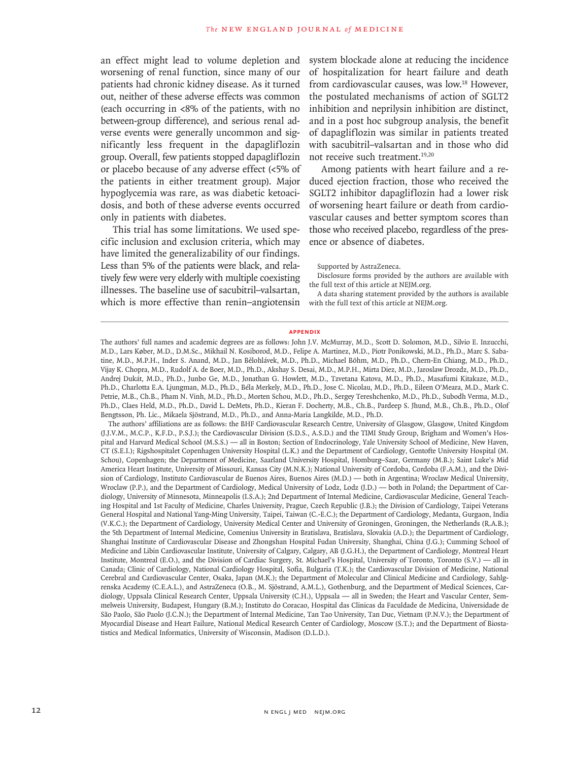an effect might lead to volume depletion and worsening of renal function, since many of our patients had chronic kidney disease. As it turned out, neither of these adverse effects was common (each occurring in <8% of the patients, with no between-group difference), and serious renal adverse events were generally uncommon and significantly less frequent in the dapagliflozin group. Overall, few patients stopped dapagliflozin or placebo because of any adverse effect (<5% of the patients in either treatment group). Major hypoglycemia was rare, as was diabetic ketoacidosis, and both of these adverse events occurred only in patients with diabetes.

This trial has some limitations. We used specific inclusion and exclusion criteria, which may have limited the generalizability of our findings. Less than 5% of the patients were black, and relatively few were very elderly with multiple coexisting illnesses. The baseline use of sacubitril–valsartan, which is more effective than renin–angiotensin system blockade alone at reducing the incidence of hospitalization for heart failure and death from cardiovascular causes, was low.18 However, the postulated mechanisms of action of SGLT2 inhibition and neprilysin inhibition are distinct, and in a post hoc subgroup analysis, the benefit of dapagliflozin was similar in patients treated with sacubitril–valsartan and in those who did not receive such treatment.<sup>19,20</sup>

Among patients with heart failure and a reduced ejection fraction, those who received the SGLT2 inhibitor dapagliflozin had a lower risk of worsening heart failure or death from cardiovascular causes and better symptom scores than those who received placebo, regardless of the presence or absence of diabetes.

Supported by AstraZeneca.

Disclosure forms provided by the authors are available with the full text of this article at NEJM.org.

A data sharing statement provided by the authors is available with the full text of this article at NEJM.org.

#### **Appendix**

The authors' full names and academic degrees are as follows: John J.V. McMurray, M.D., Scott D. Solomon, M.D., Silvio E. Inzucchi, M.D., Lars Køber, M.D., D.M.Sc., Mikhail N. Kosiborod, M.D., Felipe A. Martinez, M.D., Piotr Ponikowski, M.D., Ph.D., Marc S. Sabatine, M.D., M.P.H., Inder S. Anand, M.D., Jan Bělohlávek, M.D., Ph.D., Michael Böhm, M.D., Ph.D., Chern-En Chiang, M.D., Ph.D., Vijay K. Chopra, M.D., Rudolf A. de Boer, M.D., Ph.D., Akshay S. Desai, M.D., M.P.H., Mirta Diez, M.D., Jaroslaw Drozdz, M.D., Ph.D., Andrej Dukát, M.D., Ph.D., Junbo Ge, M.D., Jonathan G. Howlett, M.D., Tzvetana Katova, M.D., Ph.D., Masafumi Kitakaze, M.D., Ph.D., Charlotta E.A. Ljungman, M.D., Ph.D., Béla Merkely, M.D., Ph.D., Jose C. Nicolau, M.D., Ph.D., Eileen O'Meara, M.D., Mark C. Petrie, M.B., Ch.B., Pham N. Vinh, M.D., Ph.D., Morten Schou, M.D., Ph.D., Sergey Tereshchenko, M.D., Ph.D., Subodh Verma, M.D., Ph.D., Claes Held, M.D., Ph.D., David L. DeMets, Ph.D., Kieran F. Docherty, M.B., Ch.B., Pardeep S. Jhund, M.B., Ch.B., Ph.D., Olof Bengtsson, Ph. Lic., Mikaela Sjöstrand, M.D., Ph.D., and Anna-Maria Langkilde, M.D., Ph.D.

The authors' affiliations are as follows: the BHF Cardiovascular Research Centre, University of Glasgow, Glasgow, United Kingdom (J.J.V.M., M.C.P., K.F.D., P.S.J.); the Cardiovascular Division (S.D.S., A.S.D.) and the TIMI Study Group, Brigham and Women's Hospital and Harvard Medical School (M.S.S.) — all in Boston; Section of Endocrinology, Yale University School of Medicine, New Haven, CT (S.E.I.); Rigshospitalet Copenhagen University Hospital (L.K.) and the Department of Cardiology, Gentofte University Hospital (M. Schou), Copenhagen; the Department of Medicine, Saarland University Hospital, Homburg–Saar, Germany (M.B.); Saint Luke's Mid America Heart Institute, University of Missouri, Kansas City (M.N.K.); National University of Cordoba, Cordoba (F.A.M.), and the Division of Cardiology, Instituto Cardiovascular de Buenos Aires, Buenos Aires (M.D.) — both in Argentina; Wroclaw Medical University, Wroclaw (P.P.), and the Department of Cardiology, Medical University of Lodz, Lodz (J.D.) — both in Poland; the Department of Cardiology, University of Minnesota, Minneapolis (I.S.A.); 2nd Department of Internal Medicine, Cardiovascular Medicine, General Teaching Hospital and 1st Faculty of Medicine, Charles University, Prague, Czech Republic (J.B.); the Division of Cardiology, Taipei Veterans General Hospital and National Yang-Ming University, Taipei, Taiwan (C.-E.C.); the Department of Cardiology, Medanta, Gurgaon, India (V.K.C.); the Department of Cardiology, University Medical Center and University of Groningen, Groningen, the Netherlands (R.A.B.); the 5th Department of Internal Medicine, Comenius University in Bratislava, Bratislava, Slovakia (A.D.); the Department of Cardiology, Shanghai Institute of Cardiovascular Disease and Zhongshan Hospital Fudan University, Shanghai, China (J.G.); Cumming School of Medicine and Libin Cardiovascular Institute, University of Calgary, Calgary, AB (J.G.H.), the Department of Cardiology, Montreal Heart Institute, Montreal (E.O.), and the Division of Cardiac Surgery, St. Michael's Hospital, University of Toronto, Toronto (S.V.) — all in Canada; Clinic of Cardiology, National Cardiology Hospital, Sofia, Bulgaria (T.K.); the Cardiovascular Division of Medicine, National Cerebral and Cardiovascular Center, Osaka, Japan (M.K.); the Department of Molecular and Clinical Medicine and Cardiology, Sahlgrenska Academy (C.E.A.L.), and AstraZeneca (O.B., M. Sjöstrand, A.M.L.), Gothenburg, and the Department of Medical Sciences, Cardiology, Uppsala Clinical Research Center, Uppsala University (C.H.), Uppsala — all in Sweden; the Heart and Vascular Center, Semmelweis University, Budapest, Hungary (B.M.); Instituto do Coracao, Hospital das Clinicas da Faculdade de Medicina, Universidade de São Paolo, São Paolo (J.C.N.); the Department of Internal Medicine, Tan Tao University, Tan Duc, Vietnam (P.N.V.); the Department of Myocardial Disease and Heart Failure, National Medical Research Center of Cardiology, Moscow (S.T.); and the Department of Biostatistics and Medical Informatics, University of Wisconsin, Madison (D.L.D.).